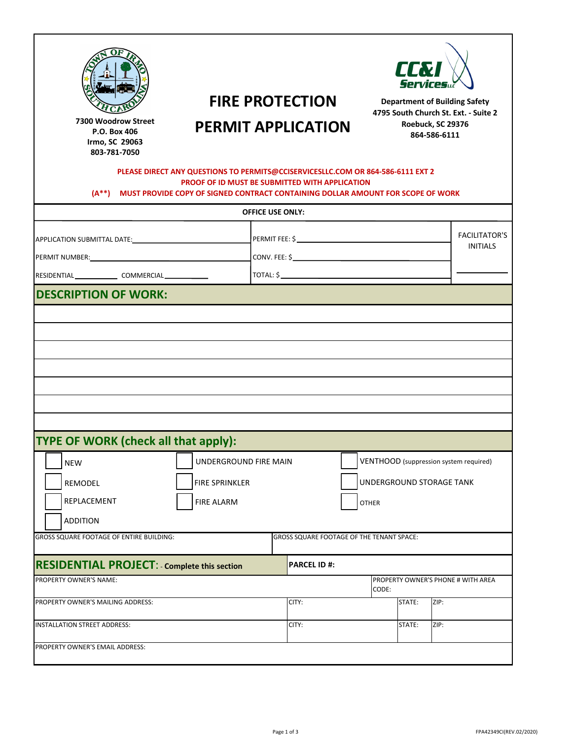|                                                                                                                                                                                                         |                                                                                                                                                                                                                                   | LEM<br><b>Services</b>                                                       |                                    |  |  |
|---------------------------------------------------------------------------------------------------------------------------------------------------------------------------------------------------------|-----------------------------------------------------------------------------------------------------------------------------------------------------------------------------------------------------------------------------------|------------------------------------------------------------------------------|------------------------------------|--|--|
|                                                                                                                                                                                                         | <b>FIRE PROTECTION</b>                                                                                                                                                                                                            | <b>Department of Building Safety</b><br>4795 South Church St. Ext. - Suite 2 |                                    |  |  |
| Willi t, SC 2 6<br>$864 - 84 - 4$                                                                                                                                                                       | 12 We t M i Street<br><b>PERMIT APPLICATION</b>                                                                                                                                                                                   |                                                                              | Roebuck, SC 29376<br>864-586-6111  |  |  |
|                                                                                                                                                                                                         | PLEASE DIRECT ANY QUESTIONS TO PERMITS@CCISERVICESLLC.COM OR 864-586-6111 EXT 2<br><b>PROOF OF ID MUST BE SUBMITTED WITH APPLICATION</b><br>(A**) MUST PROVIDE COPY OF SIGNED CONTRACT CONTAINING DOLLAR AMOUNT FOR SCOPE OF WORK |                                                                              |                                    |  |  |
|                                                                                                                                                                                                         | <b>OFFICE USE ONLY:</b>                                                                                                                                                                                                           |                                                                              |                                    |  |  |
| APPLICATION SUBMITTAL DATE:                                                                                                                                                                             |                                                                                                                                                                                                                                   |                                                                              | <b>FACILITATOR'S</b>               |  |  |
|                                                                                                                                                                                                         |                                                                                                                                                                                                                                   |                                                                              | <b>INITIALS</b>                    |  |  |
| RESIDENTIAL _________________ COMMERCIAL ______________                                                                                                                                                 |                                                                                                                                                                                                                                   |                                                                              |                                    |  |  |
|                                                                                                                                                                                                         |                                                                                                                                                                                                                                   |                                                                              |                                    |  |  |
|                                                                                                                                                                                                         |                                                                                                                                                                                                                                   |                                                                              |                                    |  |  |
|                                                                                                                                                                                                         |                                                                                                                                                                                                                                   | VENTHOOD (suppression system required)                                       |                                    |  |  |
| <b>NEW</b>                                                                                                                                                                                              | UNDERGROUND FIRE MAIN                                                                                                                                                                                                             |                                                                              |                                    |  |  |
| REMODEL                                                                                                                                                                                                 | FIRE SPRINKLER                                                                                                                                                                                                                    | UNDERGROUND STORAGE TANK                                                     |                                    |  |  |
| REPLACEMENT                                                                                                                                                                                             | <b>FIRE ALARM</b>                                                                                                                                                                                                                 | OTHER                                                                        |                                    |  |  |
| <b>ADDITION</b>                                                                                                                                                                                         | <b>GROSS SQUARE FOOTAGE OF THE TENANT SPACE:</b>                                                                                                                                                                                  |                                                                              |                                    |  |  |
|                                                                                                                                                                                                         |                                                                                                                                                                                                                                   |                                                                              |                                    |  |  |
| <b>DESCRIPTION OF WORK:</b><br><b>TYPE OF WORK (check all that apply):</b><br>GROSS SQUARE FOOTAGE OF ENTIRE BUILDING:<br><b>RESIDENTIAL PROJECT: - Complete this section</b><br>PROPERTY OWNER'S NAME: | <b>PARCEL ID#:</b>                                                                                                                                                                                                                |                                                                              | PROPERTY OWNER'S PHONE # WITH AREA |  |  |
|                                                                                                                                                                                                         |                                                                                                                                                                                                                                   | CODE:                                                                        |                                    |  |  |
| PROPERTY OWNER'S MAILING ADDRESS:                                                                                                                                                                       | CITY:                                                                                                                                                                                                                             | STATE:                                                                       | ZIP:<br>ZIP:                       |  |  |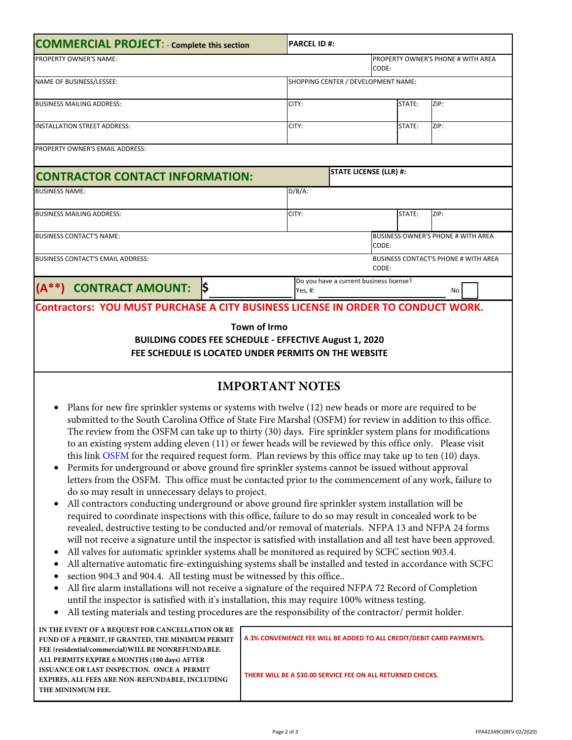| <b>COMMERCIAL PROJECT:</b> - Complete this section                                                                                                     | <b>PARCEL ID#:</b>                  |                                         |        |                                             |  |  |
|--------------------------------------------------------------------------------------------------------------------------------------------------------|-------------------------------------|-----------------------------------------|--------|---------------------------------------------|--|--|
| <b>PROPERTY OWNER'S NAME:</b>                                                                                                                          |                                     |                                         | CODE:  | PROPERTY OWNER'S PHONE # WITH AREA          |  |  |
| NAME OF BUSINESS/LESSEE:                                                                                                                               | SHOPPING CENTER / DEVELOPMENT NAME: |                                         |        |                                             |  |  |
| <b>BUSINESS MAILING ADDRESS:</b>                                                                                                                       | CITY:                               |                                         | STATE: | ZIP:                                        |  |  |
| <b>INSTALLATION STREET ADDRESS:</b>                                                                                                                    | CITY:                               |                                         | STATE: | ZIP:                                        |  |  |
| <b>PROPERTY OWNER'S EMAIL ADDRESS:</b>                                                                                                                 |                                     |                                         |        |                                             |  |  |
| <b>CONTRACTOR CONTACT INFORMATION:</b>                                                                                                                 |                                     | <b>STATE LICENSE (LLR) #:</b>           |        |                                             |  |  |
| <b>BUSINESS NAME:</b>                                                                                                                                  | $D/B/A$ :                           |                                         |        |                                             |  |  |
| <b>BUSINESS MAILING ADDRESS:</b>                                                                                                                       | CITY:                               |                                         | STATE: | ZIP:                                        |  |  |
| <b>BUSINESS CONTACT'S NAME:</b>                                                                                                                        |                                     |                                         | CODE:  | <b>BUSINESS OWNER'S PHONE # WITH AREA</b>   |  |  |
| <b>BUSINESS CONTACT'S EMAIL ADDRESS:</b>                                                                                                               |                                     |                                         | CODE:  | <b>BUSINESS CONTACT'S PHONE # WITH AREA</b> |  |  |
| ļ\$<br><b>CONTRACT AMOUNT:</b><br>$(A^{**})$                                                                                                           | Yes, #:                             | Do you have a current business license? |        | No                                          |  |  |
| Contractors: YOU MUST PURCHASE A CITY BUSINESS LICENSE IN ORDER TO CONDUCT WORK.                                                                       |                                     |                                         |        |                                             |  |  |
| <b>Town of Williamston</b><br><b>BUILDING CODES FEE SCHEDULE - EFFECTIVE February 15, 2021</b><br>FEE SCHEDULE IS LOCATED UNDER PERMITS ON THE WEBSITE |                                     |                                         |        |                                             |  |  |

## **IMPORTANT NOTES**

- Plans for new fire sprinkler systems or systems with twelve (12) new heads or more are required to be submitted to the South Carolina Office of State Fire Marshal (OSFM) for review in addition to this office. The review from the OSFM can take up to thirty (30) days. Fire sprinkler system plans for modifications to an existing system adding eleven (11) or fewer heads will be reviewed by this office only. Please visit this link OSFM for the required request form. Plan reviews by this office may take up to ten (10) days.
- Permits for underground or above ground fire sprinkler systems cannot be issued without approval letters from the OSFM. This office must be contacted prior to the commencement of any work, failure to do so may result in unnecessary delays to project.
- All contractors conducting underground or above ground fire sprinkler system installation will be required to coordinate inspections with this office, failure to do so may result in concealed work to be revealed, destructive testing to be conducted and/or removal of materials. NFPA 13 and NFPA 24 forms will not receive a signature until the inspector is satisfied with installation and all test have been approved.
- All valves for automatic sprinkler systems shall be monitored as required by SCFC section 903.4.
- All alternative automatic fire-extinguishing systems shall be installed and tested in accordance with SCFC
- section 904.3 and 904.4. All testing must be witnessed by this office.. •
- All fire alarm installations will not receive a signature of the required NFPA 72 Record of Completion until the inspector is satisfied with it's installation, this may require 100% witness testing.
- All testing materials and testing procedures are the responsibility of the contractor/ permit holder.

**IN THE EVENT OF A REQUEST FOR CANCELLATION OR RE FUND OF A PERMIT, IF GRANTED, THE MINIMUM PERMIT FEE (residential/commercial)WILL BE NONREFUNDABLE. ALL PERMITS EXPIRE 6 MONTHS (180 days) AFTER ISSUANCE OR LAST INSPECTION. ONCE A PERMIT EXPIRES, ALL FEES ARE NON‐REFUNDABLE, INCLUDING THE MININMUM FEE.**

**A 3% CONVENIENCE FEE WILL BE ADDED TO ALL CREDIT/DEBIT CARD PAYMENTS.**

**THERE WILL BE A \$30.00 SERVICE FEE ON ALL RETURNED CHECKS.**